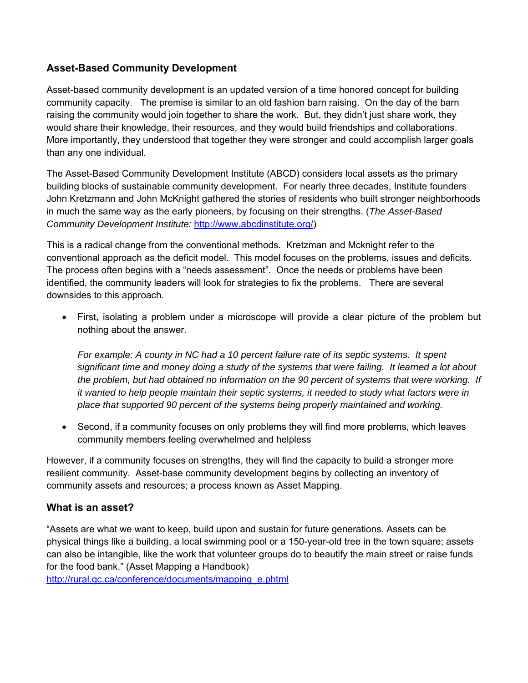#### **Asset-Based Community Development**

Asset-based community development is an updated version of a time honored concept for building community capacity. The premise is similar to an old fashion barn raising. On the day of the barn raising the community would join together to share the work. But, they didn't just share work, they would share their knowledge, their resources, and they would build friendships and collaborations. More importantly, they understood that together they were stronger and could accomplish larger goals than any one individual.

The Asset-Based Community Development Institute (ABCD) considers local assets as the primary building blocks of sustainable community development.For nearly three decades, Institute founders John Kretzmann and John McKnight gathered the stories of residents who built stronger neighborhoods in much the same way as the early pioneers, by focusing on their strengths. (*The Asset-Based Community Development Institute:* http://www.abcdinstitute.org/)

This is a radical change from the conventional methods. Kretzman and Mcknight refer to the conventional approach as the deficit model. This model focuses on the problems, issues and deficits. The process often begins with a "needs assessment". Once the needs or problems have been identified, the community leaders will look for strategies to fix the problems. There are several downsides to this approach.

 First, isolating a problem under a microscope will provide a clear picture of the problem but nothing about the answer.

*For example: A county in NC had a 10 percent failure rate of its septic systems. It spent significant time and money doing a study of the systems that were failing. It learned a lot about the problem, but had obtained no information on the 90 percent of systems that were working. If it wanted to help people maintain their septic systems, it needed to study what factors were in place that supported 90 percent of the systems being properly maintained and working.* 

 Second, if a community focuses on only problems they will find more problems, which leaves community members feeling overwhelmed and helpless

However, if a community focuses on strengths, they will find the capacity to build a stronger more resilient community. Asset-base community development begins by collecting an inventory of community assets and resources; a process known as Asset Mapping.

#### **What is an asset?**

"Assets are what we want to keep, build upon and sustain for future generations. Assets can be physical things like a building, a local swimming pool or a 150-year-old tree in the town square; assets can also be intangible, like the work that volunteer groups do to beautify the main street or raise funds for the food bank." (Asset Mapping a Handbook)

http://rural.gc.ca/conference/documents/mapping\_e.phtml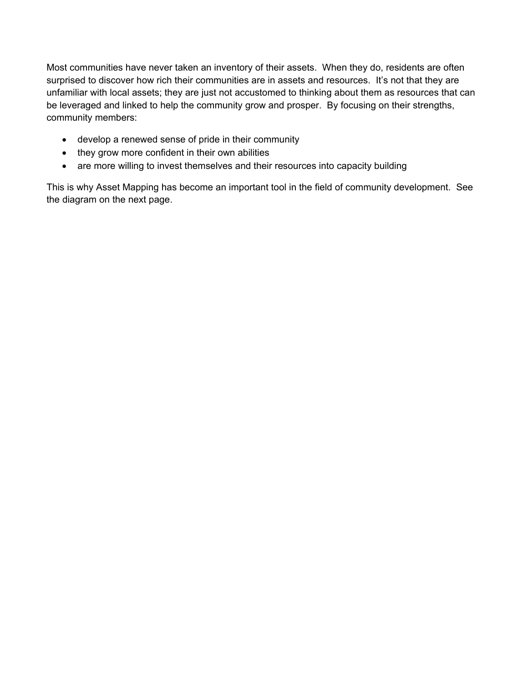Most communities have never taken an inventory of their assets. When they do, residents are often surprised to discover how rich their communities are in assets and resources. It's not that they are unfamiliar with local assets; they are just not accustomed to thinking about them as resources that can be leveraged and linked to help the community grow and prosper. By focusing on their strengths, community members:

- develop a renewed sense of pride in their community
- they grow more confident in their own abilities
- are more willing to invest themselves and their resources into capacity building

This is why Asset Mapping has become an important tool in the field of community development. See the diagram on the next page.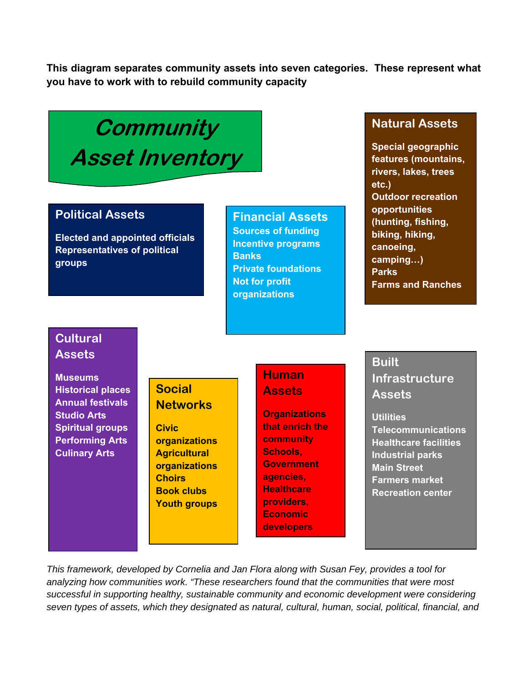**This diagram separates community assets into seven categories. These represent what you have to work with to rebuild community capacity**

# **Community Asset Inventory**

## **Political Assets**

**Elected and appointed officials Representatives of political groups** 

**Financial Assets Sources of funding Incentive programs Banks Private foundations Not for profit organizations** 

## **Natural Assets**

**Special geographic features (mountains, rivers, lakes, trees etc.) Outdoor recreation opportunities (hunting, fishing, biking, hiking, canoeing, camping…) Parks Farms and Ranches** 

## **Cultural Assets**

**Museums Historical places Annual festivals Studio Arts Spiritual groups Performing Arts Culinary Arts** 

# **Social Networks**

**Civic organizations Agricultural organizations Choirs Book clubs Youth groups** 

# **Human Assets**

**Organizations that enrich the community Schools, Government agencies, Healthcare providers, Economic developers** 

# **Built Infrastructure Assets**

**Utilities Telecommunications Healthcare facilities Industrial parks Main Street Farmers market Recreation center** 

*This framework, developed by Cornelia and Jan Flora along with Susan Fey, provides a tool for analyzing how communities work. "These researchers found that the communities that were most successful in supporting healthy, sustainable community and economic development were considering seven types of assets, which they designated as natural, cultural, human, social, political, financial, and*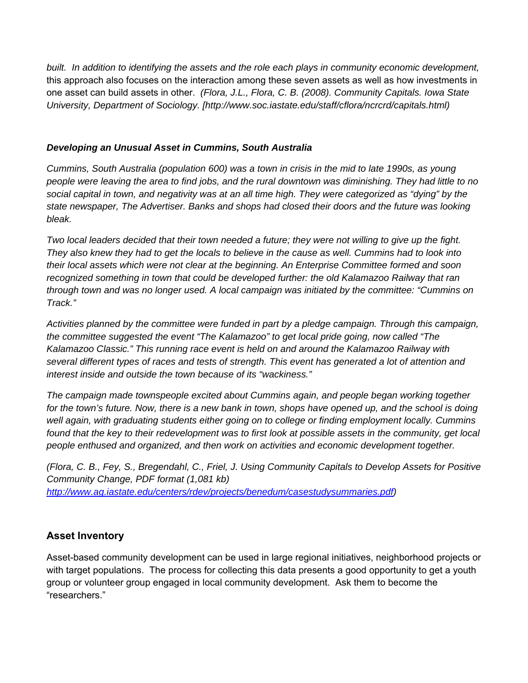*built. In addition to identifying the assets and the role each plays in community economic development,*  this approach also focuses on the interaction among these seven assets as well as how investments in one asset can build assets in other. *(Flora, J.L., Flora, C. B. (2008). Community Capitals. Iowa State University, Department of Sociology. [http://www.soc.iastate.edu/staff/cflora/ncrcrd/capitals.html)* 

#### *Developing an Unusual Asset in Cummins, South Australia*

*Cummins, South Australia (population 600) was a town in crisis in the mid to late 1990s, as young people were leaving the area to find jobs, and the rural downtown was diminishing. They had little to no social capital in town, and negativity was at an all time high. They were categorized as "dying" by the state newspaper, The Advertiser. Banks and shops had closed their doors and the future was looking bleak.* 

*Two local leaders decided that their town needed a future; they were not willing to give up the fight. They also knew they had to get the locals to believe in the cause as well. Cummins had to look into their local assets which were not clear at the beginning. An Enterprise Committee formed and soon recognized something in town that could be developed further: the old Kalamazoo Railway that ran through town and was no longer used. A local campaign was initiated by the committee: "Cummins on Track."* 

*Activities planned by the committee were funded in part by a pledge campaign. Through this campaign, the committee suggested the event "The Kalamazoo" to get local pride going, now called "The Kalamazoo Classic." This running race event is held on and around the Kalamazoo Railway with several different types of races and tests of strength. This event has generated a lot of attention and interest inside and outside the town because of its "wackiness."* 

*The campaign made townspeople excited about Cummins again, and people began working together*  for the town's future. Now, there is a new bank in town, shops have opened up, and the school is doing *well again, with graduating students either going on to college or finding employment locally. Cummins found that the key to their redevelopment was to first look at possible assets in the community, get local people enthused and organized, and then work on activities and economic development together.* 

*(Flora, C. B., Fey, S., Bregendahl, C., Friel, J. Using Community Capitals to Develop Assets for Positive Community Change, PDF format (1,081 kb) http://www.ag.iastate.edu/centers/rdev/projects/benedum/casestudysummaries.pdf)* 

## **Asset Inventory**

Asset-based community development can be used in large regional initiatives, neighborhood projects or with target populations. The process for collecting this data presents a good opportunity to get a youth group or volunteer group engaged in local community development. Ask them to become the "researchers."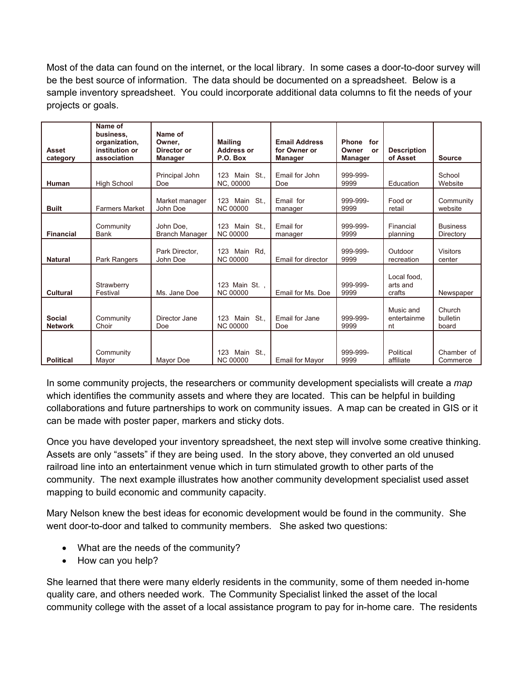Most of the data can found on the internet, or the local library. In some cases a door-to-door survey will be the best source of information. The data should be documented on a spreadsheet. Below is a sample inventory spreadsheet. You could incorporate additional data columns to fit the needs of your projects or goals.

| <b>Asset</b><br>category        | Name of<br>business.<br>organization,<br>institution or<br>association | Name of<br>Owner.<br>Director or<br><b>Manager</b> | <b>Mailing</b><br><b>Address or</b><br>P.O. Box | <b>Email Address</b><br>for Owner or<br><b>Manager</b> | <b>Phone</b><br>for<br>Owner<br><b>or</b><br><b>Manager</b> | <b>Description</b><br>of Asset    | <b>Source</b>                |
|---------------------------------|------------------------------------------------------------------------|----------------------------------------------------|-------------------------------------------------|--------------------------------------------------------|-------------------------------------------------------------|-----------------------------------|------------------------------|
| Human                           | <b>High School</b>                                                     | Principal John<br>Doe                              | Main St<br>123<br>NC, 00000                     | Email for John<br>Doe                                  | 999-999-<br>9999                                            | Education                         | School<br>Website            |
| <b>Built</b>                    | <b>Farmers Market</b>                                                  | Market manager<br>John Doe                         | Main St<br>123<br><b>NC 00000</b>               | Email for<br>manager                                   | 999-999-<br>9999                                            | Food or<br>retail                 | Community<br>website         |
| <b>Financial</b>                | Community<br><b>Bank</b>                                               | John Doe.<br><b>Branch Manager</b>                 | Main St<br>123<br><b>NC 00000</b>               | Email for<br>manager                                   | 999-999-<br>9999                                            | Financial<br>planning             | <b>Business</b><br>Directory |
| <b>Natural</b>                  | Park Rangers                                                           | Park Director,<br>John Doe                         | 123<br>Main Rd.<br><b>NC 00000</b>              | Email for director                                     | 999-999-<br>9999                                            | Qutdoor<br>recreation             | <b>Visitors</b><br>center    |
| <b>Cultural</b>                 | Strawberry<br>Festival                                                 | Ms. Jane Doe                                       | 123 Main St.,<br><b>NC 00000</b>                | Email for Ms. Doe                                      | 999-999-<br>9999                                            | Local food.<br>arts and<br>crafts | Newspaper                    |
| <b>Social</b><br><b>Network</b> | Community<br>Choir                                                     | Director Jane<br>Doe                               | Main St<br>123<br><b>NC 00000</b>               | Email for Jane<br>Doe                                  | 999-999-<br>9999                                            | Music and<br>entertainme<br>nt    | Church<br>bulletin<br>board  |
| <b>Political</b>                | Community<br>Mayor                                                     | Mayor Doe                                          | Main St.,<br>123<br><b>NC 00000</b>             | <b>Email for Mayor</b>                                 | 999-999-<br>9999                                            | Political<br>affiliate            | Chamber of<br>Commerce       |

In some community projects, the researchers or community development specialists will create a *map* which identifies the community assets and where they are located. This can be helpful in building collaborations and future partnerships to work on community issues. A map can be created in GIS or it can be made with poster paper, markers and sticky dots.

Once you have developed your inventory spreadsheet, the next step will involve some creative thinking. Assets are only "assets" if they are being used. In the story above, they converted an old unused railroad line into an entertainment venue which in turn stimulated growth to other parts of the community. The next example illustrates how another community development specialist used asset mapping to build economic and community capacity.

Mary Nelson knew the best ideas for economic development would be found in the community. She went door-to-door and talked to community members. She asked two questions:

- What are the needs of the community?
- How can you help?

She learned that there were many elderly residents in the community, some of them needed in-home quality care, and others needed work. The Community Specialist linked the asset of the local community college with the asset of a local assistance program to pay for in-home care. The residents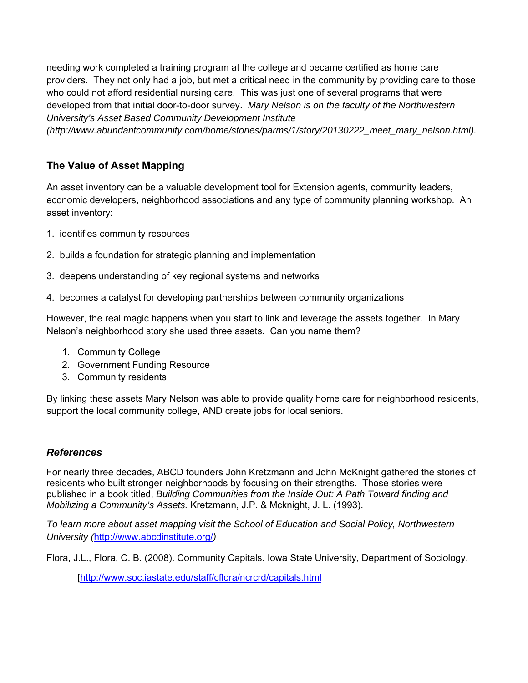needing work completed a training program at the college and became certified as home care providers. They not only had a job, but met a critical need in the community by providing care to those who could not afford residential nursing care. This was just one of several programs that were developed from that initial door-to-door survey. *Mary Nelson is on the faculty of the Northwestern University's Asset Based Community Development Institute* 

*(http://www.abundantcommunity.com/home/stories/parms/1/story/20130222\_meet\_mary\_nelson.html).*

## **The Value of Asset Mapping**

An asset inventory can be a valuable development tool for Extension agents, community leaders, economic developers, neighborhood associations and any type of community planning workshop. An asset inventory:

- 1. identifies community resources
- 2. builds a foundation for strategic planning and implementation
- 3. deepens understanding of key regional systems and networks
- 4. becomes a catalyst for developing partnerships between community organizations

However, the real magic happens when you start to link and leverage the assets together. In Mary Nelson's neighborhood story she used three assets. Can you name them?

- 1. Community College
- 2. Government Funding Resource
- 3. Community residents

By linking these assets Mary Nelson was able to provide quality home care for neighborhood residents, support the local community college, AND create jobs for local seniors.

#### *References*

For nearly three decades, ABCD founders John Kretzmann and John McKnight gathered the stories of residents who built stronger neighborhoods by focusing on their strengths. Those stories were published in a book titled, *Building Communities from the Inside Out: A Path Toward finding and Mobilizing a Community's Assets.* Kretzmann, J.P. & Mcknight, J. L. (1993).

*To learn more about asset mapping visit the School of Education and Social Policy, Northwestern University (*http://www.abcdinstitute.org/*)* 

Flora, J.L., Flora, C. B. (2008). Community Capitals. Iowa State University, Department of Sociology.

[http://www.soc.iastate.edu/staff/cflora/ncrcrd/capitals.html